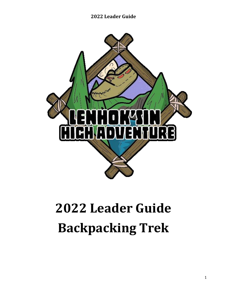

# **Leader Guide Backpacking Trek**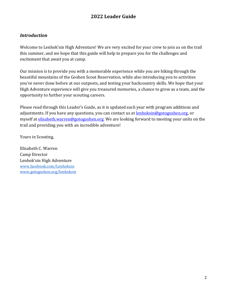#### *Introduction*

Welcome to Lenhok'sin High Adventure! We are very excited for your crew to join us on the trail this summer, and we hope that this guide will help to prepare you for the challenges and excitement that await you at camp.

Our mission is to provide you with a memorable experience while you are hiking through the beautiful mountains of the Goshen Scout Reservation, while also introducing you to activities you've never done before at our outposts, and testing your backcountry skills. We hope that your High Adventure experience will give you treasured memories, a chance to grow as a team, and the opportunity to further your scouting careers.

Please read through this Leader's Guide, as it is updated each year with program additions and adjustments. If you have any questions, you can contact us at [lenhoksin@gotogoshen.org,](mailto:lenhoksin@gotogoshen.org) or myself at [elisabeth.warren@gotogoshen.org.](mailto:elisabeth.warren@gotogoshen.org) We are looking forward to meeting your units on the trail and providing you with an incredible adventure!

Yours in Scouting,

Elisabeth C. Warren Camp Director Lenhok'sin High Adventure www.facebook.com/Lenhoksin [www.gotogoshen.org/lenhoksin](http://www.gotogoshen.org/lenhoksin)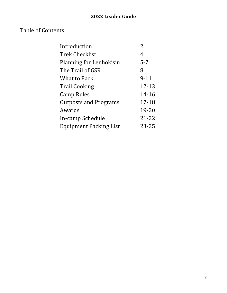## Table of Contents:

| Introduction                  | $\overline{2}$ |
|-------------------------------|----------------|
| <b>Trek Checklist</b>         | 4              |
| Planning for Lenhok'sin       | $5 - 7$        |
| The Trail of GSR              | 8              |
| What to Pack                  | $9 - 11$       |
| <b>Trail Cooking</b>          | 12-13          |
| Camp Rules                    | 14-16          |
| <b>Outposts and Programs</b>  | 17-18          |
| Awards                        | 19-20          |
| In-camp Schedule              | $21 - 22$      |
| <b>Equipment Packing List</b> | $23 - 25$      |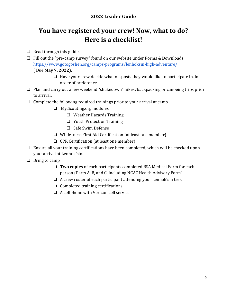## **You have registered your crew! Now, what to do? Here is a checklist!**

- ❏ Read through this guide.
- ❏ Fill out the "pre-camp survey" found on our website under Forms & Downloads <https://www.gotogoshen.org/camps-programs/lenhoksin-high-adventure/> ( Due **May 7, 2022)**.
	- ❏ Have your crew decide what outposts they would like to participate in, in order of preference.
- ❏ Plan and carry out a few weekend "shakedown" hikes/backpacking or canoeing trips prior to arrival.
- ❏ Complete the following required trainings prior to your arrival at camp.
	- ❏ My.Scouting.org modules
		- ❏ Weather Hazards Training
		- ❏ Youth Protection Training
		- ❏ Safe Swim Defense
	- ❏ Wilderness First Aid Certification (at least one member)
	- ❏ CPR Certification (at least one member)
- ❏ Ensure all your training certifications have been completed, which will be checked upon your arrival at Lenhok'sin.
- ❏ Bring to camp
	- ❏ **Two copies** of each participants completed BSA Medical Form for each person (Parts A, B, and C, including NCAC Health Advisory Form)
	- $\Box$  A crew roster of each participant attending your Lenhok's in trek
	- ❏ Completed training certifications
	- ❏ A cellphone with Verizon cell service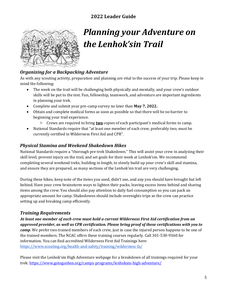

## *Planning your Adventure on the Lenhok'sin Trail*

#### *Organizing for a Backpacking Adventure*

As with any scouting activity, preparation and planning are vital to the success of your trip. Please keep in mind the following:

- The week on the trail will be challenging both physically and mentally, and your crew's outdoor skills will be put to the test. Fun, fellowship, teamwork, and adventure are important ingredients in planning your trek.
- Complete and submit your pre-camp survey no later than **May 7, 2022.**
- Obtain and complete medical forms as soon as possible so that there will be no barrier to beginning your trail experience.
	- Crews are required to bring **two** copies of each participant's medical forms to camp.
- National Standards require that "at least one member of each crew, preferably two, must be currently certified in Wilderness First Aid and CPR".

#### *Physical Stamina and Weekend Shakedown Hikes*

National Standards require a "thorough pre-trek Shakedown." This will assist your crew in analyzing their skill level, prevent injury on the trail, and set goals for their week at Lenhok'sin. We recommend completing several weekend treks, building in length, to slowly build up your crew's skill and stamina, and ensure they are prepared, as many sections of the Lenhok'sin trail are very challenging.

During these hikes, keep note of the items you used, didn't use, and any you should have brought but left behind. Have your crew brainstorm ways to lighten their packs, leaving excess items behind and sharing items among the crew. You should also pay attention to daily fuel consumption so you can pack an appropriate amount for camp. Shakedowns should include overnights trips so the crew can practice setting up and breaking camp efficiently.

#### *Training Requirements*

*At least one member of each crew must hold a current Wilderness First Aid certification from an approved provider, as well as CPR certification. Please bring proof of these certifications with you to camp*. We prefer two trained members of each crew, just in case the injured person happens to be one of the trained members. The NCAC offers these training courses regularly. Call 301-530-9360 for information. You can find accredited Wilderness First Aid Trainings here: <https://www.scouting.org/health-and-safety/training/wilderness-fa/>

Please visit the Lenhok'sin High Adventure webpage for a breakdown of all trainings required for your trek[: https://www.gotogoshen.org/camps-programs/lenhoksin-high-adventure/](https://www.gotogoshen.org/camps-programs/lenhoksin-high-adventure/)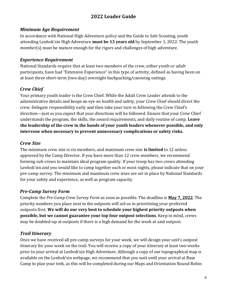#### *Minimum Age Requirement*

In accordance with National High Adventure policy and the Guide to Safe Scouting, youth attending Lenhok'sin High Adventure **must be 13 years old** by September 1, 2022. The youth member(s) must be mature enough for the rigors and challenges of high adventure.

#### *Experience Requirement*

National Standards require that at least two members of the crew, either youth or adult participants, have had "Extensive Experience" in this type of activity, defined as having been on at least three short-term (two-day) overnight backpacking/canoeing outings.

### *Crew Chief*

Your primary youth leader is the Crew Chief. While the Adult Crew Leader attends to the administrative details and keeps an eye on health and safety, your Crew Chief should direct the crew. Delegate responsibility early and then take your turn in following the Crew Chief's direction—just as you expect that your directions will be followed. Ensure that your Crew Chief understands the program, the skills, the award requirements, and daily routine of camp. **Leave the leadership of the crew in the hands of your youth leaders whenever possible, and only intervene when necessary to prevent unnecessary complications or safety risks.**

### *Crew Size*

The minimum crew size is six members, and maximum crew size **is limited** to 12 unless approved by the Camp Director. If you have more than 12 crew members, we recommend forming sub-crews to maintain ideal program quality. If your troop has two crews attending Lenhok'sin and you would like to camp together each or most nights, please indicate that on your pre-camp survey. The minimum and maximum crew sizes are set in place by National Standards for your safety and experience, as well as program capacity.

#### *Pre-Camp Survey Form*

Complete the *Pre-Camp Crew Survey Form* as soon as possible. The deadline is **May 7, 2022**. The priority numbers you place next to the outposts will aid us in prioritizing your preferred outposts first. **We will do our very best to schedule your highest priority outposts when possible, but we cannot guarantee your top four outpost selections**. Keep in mind, crews may be doubled-up at outposts if there is a high demand for the week at said outpost.

## *Trail Itinerary*

Once we have received all pre-camp surveys for your week, we will design your unit's outpost itinerary for your week on the trail. You will receive a copy of your itinerary at least two weeks prior to your arrival at Lenhok'sin High Adventure. Although a copy of our topographical map is available on the Lenhok'sin webpage, we recommend that you wait until your arrival at Base Camp to plan your trek, as this will be completed during our Maps and Orientation Round Robin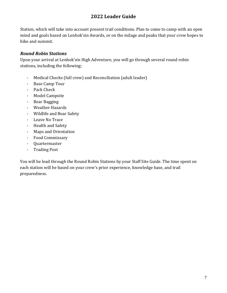Station, which will take into account present trail conditions. Plan to come to camp with an open mind and goals based on Lenhok'sin Awards, or on the milage and peaks that your crew hopes to hike and summit.

#### *Round Robin Stations*

Upon your arrival at Lenhok'sin High Adventure, you will go through several round robin stations, including the following:

- Medical Checks (full crew) and Reconciliation (adult leader)
- Base Camp Tour
- Pack Check
- Model Campsite
- Bear Bagging
- Weather Hazards
- Wildlife and Bear Safety
- Leave No Trace
- Health and Safety
- Maps and Orientation
- Food Commissary
- Quartermaster
- Trading Post

You will be lead through the Round Robin Stations by your Staff Site Guide. The time spent on each station will be based on your crew's prior experience, knowledge base, and trail preparedness.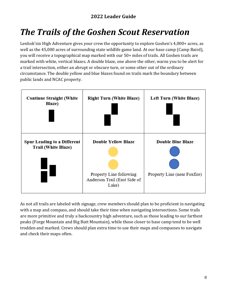## *The Trails of the Goshen Scout Reservation*

Lenhok'sin High Adventure gives your crew the opportunity to explore Goshen's 4,000+ acres, as well as the 45,000 acres of surrounding state wildlife game land. At our base camp (Camp Baird), you will receive a topographical map marked with our 50+ miles of trails. All Goshen trails are marked with white, vertical blazes. A double blaze, one above the other, warns you to be alert for a trail intersection, either an abrupt or obscure turn, or some other out of the ordinary circumstance. The double yellow and blue blazes found on trails mark the boundary between public lands and NCAC property.



As not all trails are labeled with signage, crew members should plan to be proficient in navigating with a map and compass, and should take their time when navigating intersections. Some trails are more primitive and truly a backcountry high adventure, such as those leading to our farthest peaks (Forge Mountain and Big Butt Mountain), while those closer to base camp tend to be well trodden and marked. Crews should plan extra time to use their maps and compasses to navigate and check their maps often.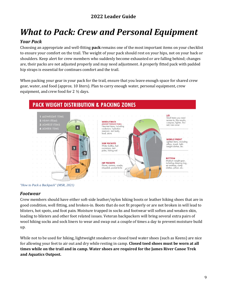## *What to Pack: Crew and Personal Equipment*

#### *Your Pack*

Choosing an appropriate and well-fitting **pack** remains one of the most important items on your checklist to ensure your comfort on the trail. The weight of your pack should rest on your hips, not on your back or shoulders. Keep alert for crew members who suddenly become exhausted or are falling behind; changes are, their packs are not adjusted properly and may need adjustment. A properly fitted pack with padded hip straps is essential for continues comfort and the trail.

When packing your gear in your pack for the trail, ensure that you leave enough space for shared crew gear, water, and food (approx. 10 liters). Plan to carry enough water, personal equipment, crew equipment, and crew food for 2 ½ days.



*"How to Pack a Backpack" (MSR, 2021)*

#### *Footwear*

Crew members should have either soft-side leather/nylon hiking boots or leather hiking shoes that are in good condition, well fitting, and broken-in. Boots that do not fit properly or are not broken in will lead to blisters, hot spots, and foot pain. Moisture trapped in socks and footwear will soften and weaken skin, leading to blisters and other foot related issues. Veteran backpackers will bring several extra pairs of wool hiking socks and sock liners to wear and swap out a couple of times a day to prevent moisture build up.

While not to be used for hiking, lightweight sneakers or closed toed water shoes (such as Keens) are nice for allowing your feet to air out and dry while resting in camp. **Closed toed shoes must be worn at all times while on the trail and in camp. Water shoes are required for the James River Canoe Trek and Aquatics Outpost.**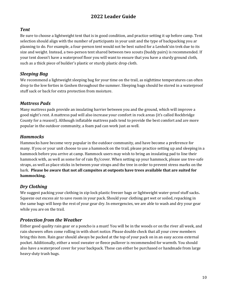#### *Tent*

Be sure to choose a lightweight tent that is in good condition, and practice setting it up before camp. Tent selection should align with the number of participants in your unit and the type of backpacking you ar planning to do. For example, a four-person tent would not be best suited for a Lenhok'sin trek due to its size and weight. Instead, a two-person tent shared between two scouts (buddy pairs) is recommended. If your tent doesn't have a waterproof floor you will want to ensure that you have a sturdy ground cloth, such as a thick piece of builder's plastic or sturdy plastic drop cloth.

#### *Sleeping Bag*

We recommend a lightweight sleeping bag for your time on the trail, as nighttime temperatures can often drop to the low forties in Goshen throughout the summer. Sleeping bags should be stored in a waterproof stuff sack or back for extra protection from moisture.

#### *Mattress Pads*

Many mattress pads provide an insulating barrier between you and the ground, which will improve a good night's rest. A mattress pad will also increase your comfort in rock areas (it's called Rockbridge County for a reason!). Although inflatable mattress pads tend to provide the best comfort and are more popular in the outdoor community, a foam pad can work just as well.

#### *Hammocks*

Hammocks have become very popular in the outdoor community, and have become a preference for many. If you or your unit choose to use a hammock on the trail, please practice setting up and sleeping in a hammock before you arrive at camp. Hammock users may wish to bring an insulating pad to line their hammock with, as well as some for of rain fly/cover. When setting up your hammock, please use tree-safe straps, as well as place sticks in between your straps and the tree in order to prevent stress marks on the bark. **Please be aware that not all campsites at outposts have trees available that are suited for hammocking.**

#### *Dry Clothing*

We suggest packing your clothing in zip-lock plastic freezer bags or lightweight water-proof stuff sacks**.**  Squeeze out excess air to save room in your pack. Should your clothing get wet or soiled, repacking in the same bags will keep the rest of your gear dry. In emergencies, we are able to wash and dry your gear while you are on the trail.

#### *Protection from the Weather*

Either good quality rain gear or a poncho is a must! You will be in the woods or on the river all week, and rain showers often come rolling in with short notice. Please double check that all your crew members bring this item. Rain gear should always be packed at the top of your pack on in an easy access external pocket. Additionally, either a wool sweater or fleece pullover is recommended for warmth. You should also have a waterproof cover for your backpack. These can either be purchased or handmade from large heavy-duty trash bags.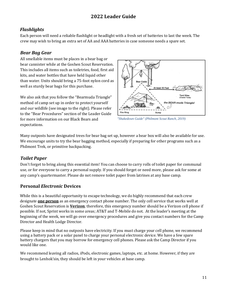#### *Flashlights*

Each person will need a reliable flashlight or headlight with a fresh set of batteries to last the week. The crew may wish to bring an extra set of AA and AAA batteries in case someone needs a spare set.

#### *Bear Bag Gear*

All smellable items must be places in a bear bag or bear cannister while at the Goshen Scout Reservation. This includes all items such as toiletries, food, first aid kits, and water bottles that have held liquid other than water. Units should bring a 75-foot nylon cord as well as sturdy bear bags for this purchase.

We also ask that you follow the "Bearmuda Triangle" method of camp set up in order to protect yourself and our wildlife (see image to the right). Please refer to the "Bear Procedures" section of the Leader Guide for more information on our Black Bears and expectations.



*"Shakedown Guide" (Philmont Scout Ranch, 2019)*

Many outposts have designated trees for bear bag set up, however a bear box will also be available for use. We encourage units to try the bear bagging method, especially if preparing for other programs such as a Philmont Trek, or primitive backpacking.

#### *Toilet Paper*

Don't forget to bring along this essential item! You can choose to carry rolls of toilet paper for communal use, or for everyone to carry a personal supply. If you should forget or need more, please ask for some at any camp's quartermaster. Please do not remove toilet paper from latrines at any base camp.

#### **Personal** *Electronic* **Devices**

While this is a beautiful opportunity to escape technology, we do highly recommend that each crew designate **one person** as an emergency contact phone number. The only cell service that works well at Goshen Scout Reservation is **Verizon**; therefore, this emergency number should be a Verizon cell phone if possible. If not, Sprint works in some areas; AT&T and T-Mobile do not. At the leader's meeting at the beginning of the week, we will go over emergency procedures and give you contact numbers for the Camp Director and Health Lodge Director.

Please keep in mind that no outposts have electricity. If you must charge your cell phone, we recommend using a battery pack or a solar panel to charge your personal electronic device. We have a few spare battery chargers that you may borrow for emergency cell phones. Please ask the Camp Director if you would like one.

We recommend leaving all radios, iPods, electronic games, laptops, etc. at home. However, if they are brought to Lenhok'sin, they should be left in your vehicles at base camp.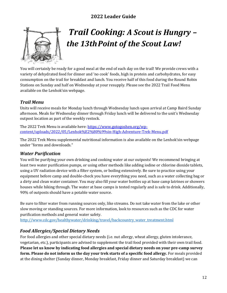

## *Trail Cooking: A Scout is Hungry – the 13thPoint of the Scout Law!*

You will certainly be ready for a good meal at the end of each day on the trail! We provide crews with a variety of dehydrated food for dinner and 'no cook' foods, high in protein and carbohydrates, for easy consumption on the trail for breakfast and lunch. You receive half of this food during the Round Robin Stations on Sunday and half on Wednesday at your resupply. Please see the 2022 Trail Food Menu available on the Lenhok'sin webpage.

#### *Trail Menu*

Units will receive meals for Monday lunch through Wednesday lunch upon arrival at Camp Baird Sunday afternoon. Meals for Wednesday dinner through Friday lunch will be delivered to the unit's Wednesday outpost location as part of the weekly restock.

The 2022 Trek Menu is available here: [https://www.gotogoshen.org/wp](https://www.gotogoshen.org/wp-content/uploads/2022/05/Lenhok%E2%80%99sin-High-Adventure-Trek-Menu.pdf)[content/uploads/2022/05/Lenhok%E2%80%99sin-High-Adventure-Trek-Menu.pdf](https://www.gotogoshen.org/wp-content/uploads/2022/05/Lenhok%E2%80%99sin-High-Adventure-Trek-Menu.pdf)

The 2022 Trek Menu supplemental nutritional information is also available on the Lenhok'sin webpage under "forms and downloads."

#### *Water Purification*

You will be purifying your own drinking and cooking water at our outposts! We recommend bringing at least two water purification pumps, or using other methods like adding iodine or chlorine dioxide tablets, using a UV radiation device with a filter system, or boiling extensively. Be sure to practice using your equipment before camp and double-check you have everything you need, such as a water collecting bag or a dirty and clean water container. You may also fill your water bottles up at base camp latrines or showers houses while hiking through. The water at base camps is tested regularly and is safe to drink. Additionally, 90% of outposts should have a potable water source.

Be sure to filter water from running sources only, like streams. Do not take water from the lake or other slow moving or standing sources. For more information, look to resources such as the CDC for water purification methods and general water safety.

[http://www.cdc.gov/healthywater/drinking/travel/backcountry\\_water\\_treatment.html](http://www.cdc.gov/healthywater/drinking/travel/backcountry_water_treatment.html)

#### *Food Allergies/Special Dietary Needs*

For food allergies and other special dietary needs (i.e. nut allergy, wheat allergy, gluten intolerance, vegetarian, etc.), participants are advised to supplement the trail food provided with their own trail food. **Please let us know by indicating food allergies and special dietary needs on your pre-camp survey form. Please do not inform us the day your trek starts of a specific food allergy.** For meals provided at the dining shelter (Sunday dinner, Monday breakfast, Friday dinner and Saturday breakfast) we can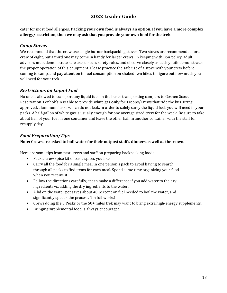cater for most food allergies. **Packing your own food is always an option. If you have a more complex allergy/restriction, then we may ask that you provide your own food for the trek.**

#### *Camp Stoves*

We recommend that the crew use single burner backpacking stoves. Two stoves are recommended for a crew of eight, but a third one may come in handy for larger crews. In keeping with BSA policy, adult advisors must demonstrate safe use, discuss safety rules, and observe closely as each youth demonstrates the proper operation of this equipment. Please practice the safe use of a stove with your crew before coming to camp, and pay attention to fuel consumption on shakedown hikes to figure out how much you will need for your trek.

#### *Restrictions on Liquid Fuel*

No one is allowed to transport any liquid fuel on the buses transporting campers to Goshen Scout Reservation. Lenhok'sin is able to provide white gas **only** for Troops/Crews that ride the bus. Bring approved, aluminum flasks which do not leak, in order to safely carry the liquid fuel, you will need in your packs. A half-gallon of white gas is usually enough for one average sized crew for the week. Be sure to take about half of your fuel in one container and leave the other half in another container with the staff for resupply day.

#### *Food Preparation/Tips*

#### **Note: Crews are asked to boil water for their outpost staff's dinners as well as their own.**

Here are some tips from past crews and staff on preparing backpacking food:

- Pack a crew spice kit of basic spices you like
- Carry all the food for a single meal in one person's pack to avoid having to search through all packs to find items for each meal. Spend some time organizing your food when you receive it.
- Follow the directions carefully; it can make a difference if you add water to the dry ingredients vs. adding the dry ingredients to the water.
- A lid on the water pot saves about 40 percent on fuel needed to boil the water, and significantly speeds the process. Tin foil works!
- Crews doing the 5 Peaks or the 50+ miles trek may want to bring extra high-energy supplements.
- Bringing supplemental food is always encouraged.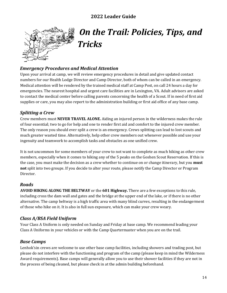

## *On the Trail: Policies, Tips, and Tricks*

#### *Emergency Procedures and Medical Attention*

Upon your arrival at camp, we will review emergency procedures in detail and give updated contact numbers for our Health Lodge Director and Camp Director, both of whom can be called in an emergency. Medical attention will be rendered by the trained medical staff at Camp Post, on call 24 hours a day for emergencies. The nearest hospital and urgent care facilities are in Lexington, VA. Adult advisors are asked to contact the medical center before calling parents concerning the health of a Scout. If in need of first aid supplies or care, you may also report to the administration building or first aid office of any base camp.

#### *Splitting a Crew*

Crew members must **NEVER TRAVEL ALONE.** Aiding an injured person in the wilderness makes the rule of four essential; two to go for help and one to render first aid and comfort to the injured crew member. The only reason you should ever split a crew is an emergency. Crews splitting can lead to lost scouts and much greater wasted time. Alternatively, help other crew members out whenever possible and use your ingenuity and teamwork to accomplish tasks and obstacles as one unified crew.

It is not uncommon for some members of your crew to not want to complete as much hiking as other crew members, especially when it comes to hiking any of the 5 peaks on the Goshen Scout Reservation. If this is the case, you must make the decision as a crew whether to continue on or change itinerary, but you **must not** split into two groups. If you decide to alter your route, please notify the Camp Director or Program Director.

#### *Roads*

**AVOID HIKING ALONG THE BELTWAY** or the **601 Highway.** There are a few exceptions to this rule, including cross the dam wall and gates and the bridge at the upper end of the lake, or if there is no other alternative. The camp beltway is a high traffic area with many blind curves, resulting in the endangerment of those who hike on it. It is also in full sun exposure, which can make your crew weary.

## *Class A/BSA Field Uniform*

Your Class A Uniform is only needed on Sunday and Friday at base camp. We recommend leading your Class A Uniforms in your vehicles or with the Camp Quartermaster when you are on the trail.

#### *Base Camps*

Lenhok'sin crews are welcome to use other base camp facilities, including showers and trading post, but please do not interfere with the functioning and program of the camp (please keep in mind the Wilderness Award requirements). Base camps will generally allow you to use their shower facilities if they are not in the process of being cleaned, but please check in at the admin building beforehand.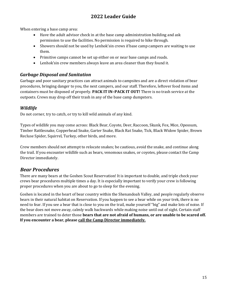When entering a base camp area:

- Have the adult advisor check in at the base camp administration building and ask permission to use the facilities. No permission is required to hike through.
- Showers should not be used by Lenhok's in crews if base camp campers are waiting to use them.
- Primitive camps cannot be set up either on or near base camps and roads.
- Lenhok'sin crew members always leave an area cleaner than they found it.

#### *Garbage Disposal and Sanitation*

Garbage and poor sanitary practices can attract animals to campsites and are a direct violation of bear procedures, bringing danger to you, the next campers, and our staff. Therefore, leftover food items and containers must be disposed of properly. **PACK IT IN–PACK IT OUT!** There is no trash service at the outposts. Crews may drop off their trash in any of the base camp dumpsters.

#### *Wildlife*

Do not corner, try to catch, or try to kill wild animals of any kind.

Types of wildlife you may come across: Black Bear, Coyote, Deer, Raccoon, Skunk, Fox, Mice, Opossum, Timber Rattlesnake, Copperhead Snake, Garter Snake, Black Rat Snake, Tick, Black Widow Spider, Brown Recluse Spider, Squirrel, Turkey, other birds, and more.

Crew members should not attempt to relocate snakes; be cautious, avoid the snake, and continue along the trail. If you encounter wildlife such as bears, venomous snakes, or coyotes, please contact the Camp Director immediately.

#### *Bear Procedures*

There are many bears at the Goshen Scout Reservation! It is important to double, and triple check your crews bear procedures multiple times a day. It is especially important to verify your crew is following proper procedures when you are about to go to sleep for the evening.

Goshen is located in the heart of bear country within the Shenandoah Valley, and people regularly observe bears in their natural habitat on Reservation. If you happen to see a bear while on your trek, there is no need to fear. If you see a bear that is close to you on the trail, make yourself "big" and make lots of noise. If the bear does not move away, calmly walk backwards while making noise until out of sight. Certain staff members are trained to deter those **bears that are not afraid of humans, or are unable to be scared off. If you encounter a bear, please call the Camp Director immediately.**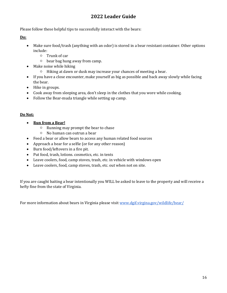Please follow these helpful tips to successfully interact with the bears:

**Do:**

- Make sure food/trash (anything with an odor) is stored in a bear resistant container. Other options include:
	- Trunk of car
	- bear bag hung away from camp.
- Make noise while hiking
	- Hiking at dawn or dusk may increase your chances of meeting a bear.
- If you have a close encounter, make yourself as big as possible and back away slowly while facing the bear.
- Hike in groups.
- Cook away from sleeping area, don't sleep in the clothes that you wore while cooking.
- Follow the Bear-muda triangle while setting up camp.

#### **Do Not:**

- **Run from a Bear!**
	- Running may prompt the bear to chase
	- No human can outrun a bear
- Feed a bear or allow bears to access any human related food sources
- Approach a bear for a selfie (or for any other reason)
- Burn food/leftovers in a fire pit.
- Put food, trash, lotions. cosmetics, etc. in tents
- Leave coolers, food, camp stoves, trash, etc. in vehicle with windows open
- Leave coolers, food, camp stoves, trash, etc. out when not on site.

If you are caught baiting a bear intentionally you WILL be asked to leave to the property and will receive a hefty fine from the state of Virginia.

For more information about bears in Virginia please visit [www.dgif.virgina.gov/wildlife/bear/](http://www.dgif.virgina.gov/wildlife/bear/)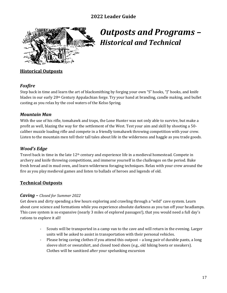

## *Outposts and Programs – Historical and Technical*

#### **Historical Outposts**

#### *Foxfire*

Step back in time and learn the art of blacksmithing by forging your own "S" hooks, "J" hooks, and knife blades in our early 20th Century Appalachian forge. Try your hand at branding, candle making, and bullet casting as you relax by the cool waters of the Kelso Spring.

#### *Mountain Man*

With the use of his rifle, tomahawk and traps, the Lone Hunter was not only able to survive, but make a profit as well, blazing the way for the settlement of the West. Test your aim and skill by shooting a 50 caliber muzzle loading rifle and compete in a friendly tomahawk throwing competition with your crew. Listen to the mountain men tell their tall tales about life in the wilderness and haggle as you trade goods.

#### *Wood's Edge*

Travel back in time in the late 12th century and experience life in a medieval homestead. Compete in archery and knife throwing competitions, and immerse yourself in the challenges on the period. Bake fresh bread and in mud oven, and learn wilderness foraging techniques. Relax with your crew around the fire as you play medieval games and listen to ballads of heroes and legends of old.

#### **Technical Outposts**

#### *Caving – Closed for Summer 2022*

Get down and dirty spending a few hours exploring and crawling through a "wild" cave system. Learn about cave science and formations while you experience absolute darkness as you tun off your headlamps. This cave system is so expansive (nearly 3 miles of explored passages!), that you would need a full day's rations to explore it all!

- Scouts will be transported in a camp van to the cave and will return in the evening. Larger units will be asked to assist in transportation with their personal vehicles.
- Please bring caving clothes if you attend this outpost a long pair of durable pants, a long sleeve shirt or sweatshirt, and closed toed shoes (e.g., old hiking boots or sneakers). Clothes will be sanitized after your spelunking excursion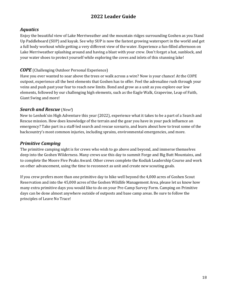#### *Aquatics*

Enjoy the beautiful view of Lake Merriweather and the mountain ridges surrounding Goshen as you Stand Up Paddleboard (SUP) and kayak. See why SUP is now the fastest growing watersport in the world and get a full body workout while getting a very different view of the water. Experience a fun-filled afternoon on Lake Merriweather splashing around and having a blast with your crew. Don't forget a hat, sunblock, and your water shoes to protect yourself while exploring the coves and inlets of this stunning lake!

#### *COPE* (Challenging Outdoor Personal Experience)

Have you ever wanted to soar above the trees or walk across a wire? Now is your chance! At the COPE outpost, experience all the best elements that Goshen has to offer. Feel the adrenaline rush through your veins and push past your fear to reach new limits. Bond and grow as a unit as you explore our low elements, followed by our challenging high elements, such as the Eagle Walk, Grapevine, Leap of Faith, Giant Swing and more!

#### *Search and Rescue* (*New!*)

New to Lenhok'sin High Adventure this year (2022), experience what it takes to be a part of a Search and Rescue mission. How does knowledge of the terrain and the gear you have in your pack influence an emergency? Take part in a staff-led search and rescue scenario, and learn about how to treat some of the backcountry's most common injuries, including sprains, environmental emergencies, and more.

#### *Primitive Camping*

The primitive camping night is for crews who wish to go above and beyond, and immerse themselves deep into the Goshen Wilderness. Many crews use this day to summit Forge and Big Butt Mountains, and to complete the Moore Five Peaks Award. Other crews complete the Kodiak Leadership Course and work on other advancement, using the time to reconnect as unit and create new scouting goals.

If you crew prefers more than one primitive day to hike well beyond the 4,000 acres of Goshen Scout Reservation and into the 45,000 acres of the Goshen Wildlife Management Area, please let us know how many extra primitive days you would like to do on your Pre-Camp Survey Form. Camping on Primitive days can be done almost anywhere outside of outposts and base camp areas. Be sure to follow the principles of Leave No Trace!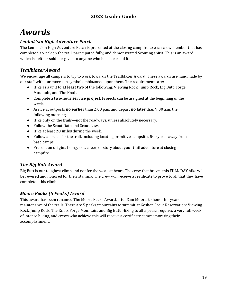## *Awards*

### *Lenhok'sin High Adventure Patch*

The Lenhok'sin High Adventure Patch is presented at the closing campfire to each crew member that has completed a week on the trail, participated fully, and demonstrated Scouting spirit. This is an award which is neither sold nor given to anyone who hasn't earned it.

#### *Trailblazer Award*

We encourage all campers to try to work towards the Trailblazer Award. These awards are handmade by our staff with our moccasin symbol emblazoned upon them. The requirements are:

- Hike as a unit to **at least two** of the following: Viewing Rock, Jump Rock, Big Butt, Forge Mountain, and The Knob.
- Complete a **two-hour service project**. Projects can be assigned at the beginning of the week.
- Arrive at outposts **no earlier** than 2:00 p.m. and depart **no later** than 9:00 a.m. the following morning.
- Hike only on the trails—not the roadways, unless absolutely necessary.
- Follow the Scout Oath and Scout Law.
- Hike at least **20 miles** during the week.
- Follow all rules for the trail, including locating primitive campsites 500 yards away from base camps.
- Present an **original** song, skit, cheer, or story about your trail adventure at closing campfire.

#### *The Big Butt Award*

Big Butt is our toughest climb and not for the weak at heart. The crew that braves this FULL-DAY hike will be revered and honored for their stamina. The crew will receive a certificate to prove to all that they have completed this climb.

#### *Moore Peaks (5 Peaks) Award*

This award has been renamed The Moore Peaks Award, after Sam Moore, to honor his years of maintenance of the trails. There are 5 peaks/mountains to summit at Goshen Scout Reservation: Viewing Rock, Jump Rock, The Knob, Forge Mountain, and Big Butt. Hiking to all 5 peaks requires a very full week of intense hiking, and crews who achieve this will receive a certificate commemorating their accomplishment.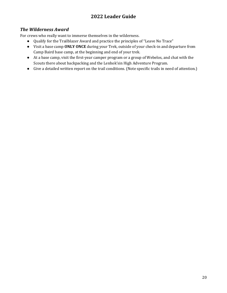#### *The Wilderness Award*

For crews who really want to immerse themselves in the wilderness.

- Qualify for the Trailblazer Award and practice the principles of "Leave No Trace"
- Visit a base camp **ONLY ONCE** during your Trek, outside of your check-in and departure from Camp Baird base camp, at the beginning and end of your trek.
- At a base camp, visit the first-year camper program or a group of Webelos, and chat with the Scouts there about backpacking and the Lenhok'sin High Adventure Program.
- Give a detailed written report on the trail conditions. (Note specific trails in need of attention.)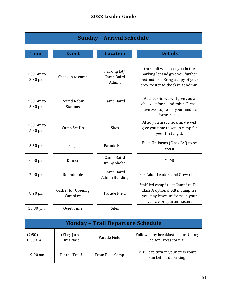| <b>Sunday - Arrival Schedule</b> |                                       |                                     |                                                                                                                                                |
|----------------------------------|---------------------------------------|-------------------------------------|------------------------------------------------------------------------------------------------------------------------------------------------|
| Time                             | <b>Event</b>                          | <b>Location</b>                     | <b>Details</b>                                                                                                                                 |
|                                  |                                       |                                     |                                                                                                                                                |
| $1:30$ pm to<br>$3:30$ pm        | Check in to camp                      | Parking lot/<br>Camp Baird<br>Admin | Our staff will greet you in the<br>parking lot and give you further<br>instructions. Bring a copy of your<br>crew roster to check in at Admin. |
| $2:00$ pm to<br>5:30 pm          | <b>Round Robin</b><br><b>Stations</b> | Camp Baird                          | At check-in we will give you a<br>checklist for round robin. Please<br>have two copies of your medical<br>forms ready.                         |
| $1:30$ pm to<br>5:30 pm          | Camp Set Up                           | <b>Sites</b>                        | After you first check in, we will<br>give you time to set up camp for<br>your first night.                                                     |
| 5:50 pm                          | Flags                                 | Parade Field                        | Field Uniforms (Class "A") to be<br>worn                                                                                                       |
| $6:00$ pm                        | Dinner                                | Camp Baird<br><b>Dining Shelter</b> | YUM!                                                                                                                                           |
| $7:00$ pm                        | Roundtable                            | Camp Baird<br><b>Admin Building</b> | For Adult Leaders and Crew Chiefs                                                                                                              |
| 8:20 pm                          | Gather for Opening<br>Campfire        | Parade Field                        | Staff-led campfire at Campfire Hill.<br>Class A optional. After campfire,<br>you may leave uniforms in your<br>vehicle or quartermaster.       |
| 10:30 pm                         | Quiet Time                            | <b>Sites</b>                        |                                                                                                                                                |

| <b>Monday - Trail Departure Schedule</b> |                                 |                |                                                                  |
|------------------------------------------|---------------------------------|----------------|------------------------------------------------------------------|
| (7:50)<br>$8:00$ am                      | (Flags) and<br><b>Breakfast</b> | Parade Field   | Followed by breakfast in our Dining<br>Shelter. Dress for trail. |
| $9:00 \text{ am}$                        | Hit the Trail!                  | From Base Camp | Be sure to turn in your crew route<br>plan before departing!     |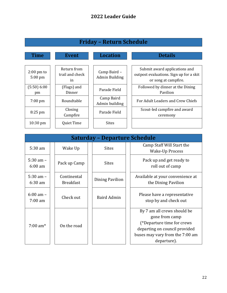| <b>Friday - Return Schedule</b>   |                                      |                                |                                                                                                  |
|-----------------------------------|--------------------------------------|--------------------------------|--------------------------------------------------------------------------------------------------|
| <b>Time</b>                       | <b>Event</b>                         | <b>Location</b>                | <b>Details</b>                                                                                   |
| $2:00 \text{ pm}$ to<br>$5:00$ pm | Return from<br>trail and check<br>in | Camp Baird -<br>Admin Building | Submit award applications and<br>outpost evaluations. Sign up for a skit<br>or song at campfire. |
| (5:50) 6:00<br>pm                 | (Flags) and<br>Dinner                | Parade Field                   | Followed by dinner at the Dining<br>Pavilion                                                     |
| $7:00 \text{ pm}$                 | Roundtable                           | Camp Baird<br>Admin building   | For Adult Leaders and Crew Chiefs                                                                |
| $8:25$ pm                         | Closing<br>Campfire                  | Parade Field                   | Scout-led campfire and award<br>ceremony                                                         |
| $10:30$ pm                        | Quiet Time                           | <b>Sites</b>                   |                                                                                                  |

| <b>Saturday - Departure Schedule</b> |  |                                 |  |                    |                                                                                                                                                                |
|--------------------------------------|--|---------------------------------|--|--------------------|----------------------------------------------------------------------------------------------------------------------------------------------------------------|
| 5:30 am                              |  | Wake Up                         |  | <b>Sites</b>       | Camp Staff Will Start the<br>Wake-Up Process                                                                                                                   |
| $5:30$ am $-$<br>$6:00 \text{ am}$   |  | Pack up Camp                    |  | <b>Sites</b>       | Pack up and get ready to<br>roll out of camp                                                                                                                   |
| $5:30$ am $-$<br>$6:30$ am           |  | Continental<br><b>Breakfast</b> |  | Dining Pavilion    | Available at your convenience at<br>the Dining Pavilion                                                                                                        |
| $6:00 \text{ am } -$<br>$7:00$ am    |  | Check out                       |  | <b>Baird Admin</b> | Please have a representative<br>stop by and check out                                                                                                          |
| $7:00 \text{ am*}$                   |  | On the road                     |  |                    | By 7 am all crews should be<br>gone from camp<br>(*Departure time for crews<br>departing on council provided<br>buses may vary from the 7:00 am<br>departure). |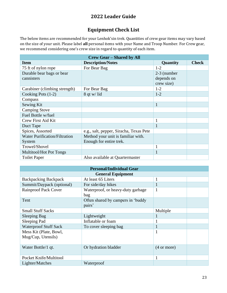## **Equipment Check List**

The below items are recommended for your Lenhok'sin trek. Quantities of crew gear items may vary based on the size of your unit. Please label **all** personal items with your Name and Troop Number. For Crew gear, we recommend considering one's crew size in regard to quantity of each item.

| <b>Crew Gear - Shared by All</b>     |                                         |               |              |  |
|--------------------------------------|-----------------------------------------|---------------|--------------|--|
| <b>Item</b>                          | <b>Description/Notes</b>                | Quantity      | <b>Check</b> |  |
| 75 ft of nylon rope                  | For Bear Bag                            | $1 - 2$       |              |  |
| Durable bear bags or bear            |                                         | $2-3$ (number |              |  |
| cannisters                           |                                         | depends on    |              |  |
|                                      |                                         | crew size)    |              |  |
| Carabiner (climbing strength)        | For Bear Bag                            | $1-2$         |              |  |
| Cooking Pots (1-2)                   | $8$ qt w/ lid                           | $1 - 2$       |              |  |
| Compass                              |                                         |               |              |  |
| Sewing Kit                           |                                         |               |              |  |
| <b>Camping Stove</b>                 |                                         |               |              |  |
| Fuel Bottle w/fuel                   |                                         |               |              |  |
| Crew First Aid Kit                   |                                         |               |              |  |
| Duct Tape                            |                                         |               |              |  |
| Spices, Assorted                     | e.g., salt, pepper, Siracha, Texas Pete |               |              |  |
| <b>Water Purification/Filtration</b> | Method your unit is familiar with.      |               |              |  |
| System                               | Enough for entire trek.                 |               |              |  |
| Trowel/Shovel                        |                                         |               |              |  |
| <b>Multitool/Hot Pot Tongs</b>       |                                         |               |              |  |
| <b>Toilet Paper</b>                  | Also available at Quartermaster         |               |              |  |

| <b>Personal/Individual Gear</b>              |                                             |                       |  |  |  |
|----------------------------------------------|---------------------------------------------|-----------------------|--|--|--|
| <b>General Equipment</b>                     |                                             |                       |  |  |  |
| <b>Backpacking Backpack</b>                  | At least 65 Liters                          | $\mathbf{1}$          |  |  |  |
| Summit/Daypack (optional)                    | For side/day hikes                          | $\mathbf{1}$          |  |  |  |
| <b>Rainproof Pack Cover</b>                  | Waterproof, or heavy-duty garbage<br>bag    | $\mathbf{1}$          |  |  |  |
| Tent                                         | Often shared by campers in 'buddy<br>pairs' |                       |  |  |  |
| <b>Small Stuff Sacks</b>                     |                                             | Multiple              |  |  |  |
| Sleeping Bag                                 | Lightweight                                 |                       |  |  |  |
| Sleeping Pad                                 | Inflatable or foam                          |                       |  |  |  |
| <b>Waterproof Stuff Sack</b>                 | To cover sleeping bag                       | $\bf{I}$              |  |  |  |
| Mess Kit (Plate, Bowl,<br>Mug/Cup, Utensils) |                                             | 1                     |  |  |  |
| Water Bottle/1 qt.                           | Or hydration bladder                        | $(4 \text{ or more})$ |  |  |  |
| Pocket Knife/Multitool                       |                                             |                       |  |  |  |
| Lighter/Matches                              | Waterproof                                  |                       |  |  |  |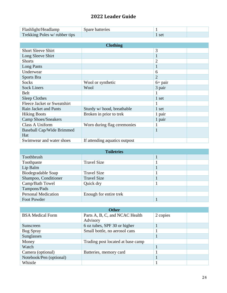| Flashlight/Headlamp           | Spare batteries |  |
|-------------------------------|-----------------|--|
| Trekking Poles w/ rubber tips |                 |  |

| <b>Clothing</b>                  |                               |                |  |  |
|----------------------------------|-------------------------------|----------------|--|--|
| <b>Short Sleeve Shirt</b>        |                               | 3              |  |  |
| Long Sleeve Shirt                |                               | $\mathbf{1}$   |  |  |
| <b>Shorts</b>                    |                               | $\overline{2}$ |  |  |
| Long Pants                       |                               | $\mathbf{1}$   |  |  |
| Underwear                        |                               | 6              |  |  |
| Sports Bra                       |                               | $\overline{2}$ |  |  |
| <b>Socks</b>                     | Wool or synthetic             | $6+$ pair      |  |  |
| <b>Sock Liners</b>               | Wool                          | 3 pair         |  |  |
| <b>Belt</b>                      |                               |                |  |  |
| <b>Sleep Clothes</b>             |                               | 1 set          |  |  |
| Fleece Jacket or Sweatshirt      |                               |                |  |  |
| Rain Jacket and Pants            | Sturdy w/hood, breathable     | 1 set          |  |  |
| <b>Hiking Boots</b>              | Broken in prior to trek       | 1 pair         |  |  |
| <b>Camp Shoes/Sneakers</b>       |                               | 1 pair         |  |  |
| Class A Uniform                  | Worn during flag ceremonies   |                |  |  |
| Baseball Cap/Wide Brimmed<br>Hat |                               | $\mathbf{1}$   |  |  |
| Swimwear and water shoes         | If attending aquatics outpost |                |  |  |

| <b>Toiletries</b>          |                        |  |  |  |
|----------------------------|------------------------|--|--|--|
| Toothbrush                 |                        |  |  |  |
| Toothpaste                 | <b>Travel Size</b>     |  |  |  |
| Lip Balm                   |                        |  |  |  |
| Biodegradable Soap         | <b>Travel Size</b>     |  |  |  |
| Shampoo, Conditioner       | <b>Travel Size</b>     |  |  |  |
| Camp/Bath Towel            | Quick dry              |  |  |  |
| Tampons/Pads               |                        |  |  |  |
| <b>Personal Medication</b> | Enough for entire trek |  |  |  |
| Foot Powder                |                        |  |  |  |

| <b>Other</b>            |                                   |          |  |  |
|-------------------------|-----------------------------------|----------|--|--|
| <b>BSA</b> Medical Form | Parts A, B, C, and NCAC Health    | 2 copies |  |  |
|                         | Advisory                          |          |  |  |
| Sunscreen               | 6 oz tubes, SPF 30 or higher      |          |  |  |
| <b>Bug Spray</b>        | Small bottle, no aerosol cans     |          |  |  |
| Sunglasses              |                                   |          |  |  |
| Money                   | Trading post located at base camp |          |  |  |
| Watch                   |                                   |          |  |  |
| Camera (optional)       | Batteries, memory card            |          |  |  |
| Notebook/Pen (optional) |                                   |          |  |  |
| Whistle                 |                                   |          |  |  |